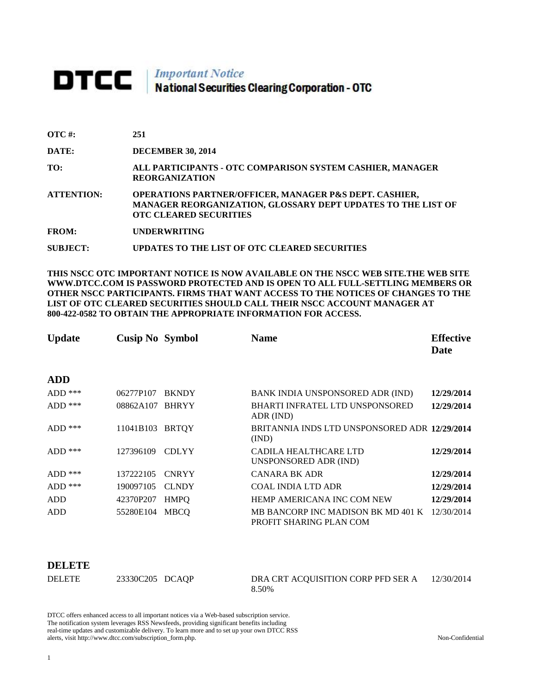# **DTCC** National Securities Clearing Corporation - OTC

| $\overline{OTC}$ #: | 251                                                                                                                                                                |
|---------------------|--------------------------------------------------------------------------------------------------------------------------------------------------------------------|
| DATE:               | <b>DECEMBER 30, 2014</b>                                                                                                                                           |
| TO:                 | ALL PARTICIPANTS - OTC COMPARISON SYSTEM CASHIER, MANAGER<br><b>REORGANIZATION</b>                                                                                 |
| <b>ATTENTION:</b>   | <b>OPERATIONS PARTNER/OFFICER, MANAGER P&amp;S DEPT. CASHIER,</b><br>MANAGER REORGANIZATION, GLOSSARY DEPT UPDATES TO THE LIST OF<br><b>OTC CLEARED SECURITIES</b> |
| <b>FROM:</b>        | <b>UNDERWRITING</b>                                                                                                                                                |
| <b>SUBJECT:</b>     | UPDATES TO THE LIST OF OTC CLEARED SECURITIES                                                                                                                      |

**THIS NSCC OTC IMPORTANT NOTICE IS NOW AVAILABLE ON THE NSCC WEB SITE.THE WEB SITE WWW.DTCC.COM IS PASSWORD PROTECTED AND IS OPEN TO ALL FULL-SETTLING MEMBERS OR OTHER NSCC PARTICIPANTS. FIRMS THAT WANT ACCESS TO THE NOTICES OF CHANGES TO THE LIST OF OTC CLEARED SECURITIES SHOULD CALL THEIR NSCC ACCOUNT MANAGER AT 800-422-0582 TO OBTAIN THE APPROPRIATE INFORMATION FOR ACCESS.** 

| <b>Update</b> | <b>Cusip No Symbol</b> |              | <b>Name</b>                                                              | <b>Effective</b><br>Date |
|---------------|------------------------|--------------|--------------------------------------------------------------------------|--------------------------|
| <b>ADD</b>    |                        |              |                                                                          |                          |
| $ADD$ ***     | 06277P107              | <b>BKNDY</b> | BANK INDIA UNSPONSORED ADR (IND)                                         | 12/29/2014               |
| $ADD$ ***     | 08862A107              | <b>BHRYY</b> | <b>BHARTI INFRATEL LTD UNSPONSORED</b><br>ADR (IND)                      | 12/29/2014               |
| $ADD$ ***     | 11041B103              | <b>BRTQY</b> | BRITANNIA INDS LTD UNSPONSORED ADR 12/29/2014<br>(IND)                   |                          |
| $ADD$ ***     | 127396109              | <b>CDLYY</b> | CADILA HEALTHCARE LTD<br>UNSPONSORED ADR (IND)                           | 12/29/2014               |
| $ADD$ ***     | 137222105              | <b>CNRYY</b> | <b>CANARA BK ADR</b>                                                     | 12/29/2014               |
| $ADD$ ***     | 190097105              | <b>CLNDY</b> | COAL INDIA LTD ADR                                                       | 12/29/2014               |
| ADD           | 42370P207              | <b>HMPO</b>  | HEMP AMERICANA INC COM NEW                                               | 12/29/2014               |
| <b>ADD</b>    | 55280E104              | <b>MBCO</b>  | MB BANCORP INC MADISON BK MD 401 K 12/30/2014<br>PROFIT SHARING PLAN COM |                          |

### **DELETE**

| <b>DELETE</b> | 23330C205 DCAQP | DRA CRT ACQUISITION CORP PFD SER A | 12/30/2014 |
|---------------|-----------------|------------------------------------|------------|
|               |                 | 8.50%                              |            |

DTCC offers enhanced access to all important notices via a Web-based subscription service. The notification system leverages RSS Newsfeeds, providing significant benefits including real-time updates and customizable delivery. To learn more and to set up your own DTCC RSS alerts, visit http://www.dtcc.com/subscription\_form.php. Non-Confidential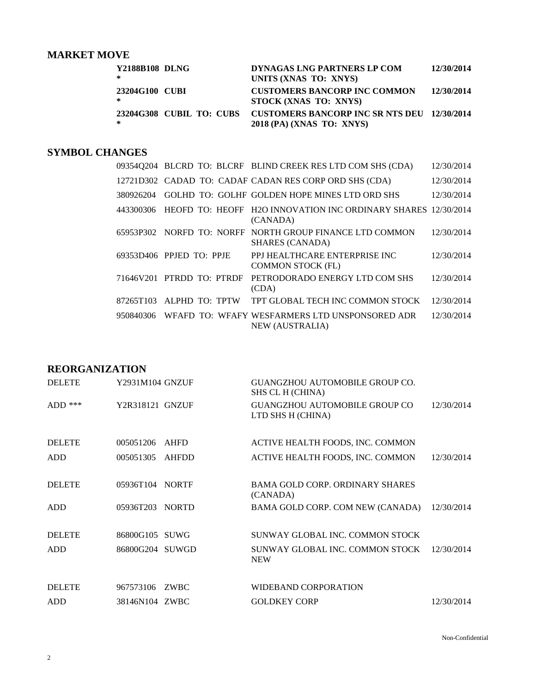# **MARKET MOVE**

| Y2188B108 DLNG<br>∗                  | DYNAGAS LNG PARTNERS LP COM<br>UNITS (XNAS TO: XNYS)                            | 12/30/2014 |
|--------------------------------------|---------------------------------------------------------------------------------|------------|
| 23204G100 CUBI<br>∗                  | <b>CUSTOMERS BANCORP INC COMMON</b><br>STOCK (XNAS TO: XNYS)                    | 12/30/2014 |
| <b>23204G308 CUBIL TO: CUBS</b><br>∗ | <b>CUSTOMERS BANCORP INC SR NTS DEU 12/30/2014</b><br>2018 (PA) (XNAS TO: XNYS) |            |

## **SYMBOL CHANGES**

|           |                             | 09354Q204 BLCRD TO: BLCRF BLIND CREEK RES LTD COM SHS (CDA)                        | 12/30/2014 |
|-----------|-----------------------------|------------------------------------------------------------------------------------|------------|
|           |                             | 12721D302 CADAD TO: CADAF CADAN RES CORP ORD SHS (CDA)                             | 12/30/2014 |
| 380926204 |                             | GOLHD TO: GOLHF GOLDEN HOPE MINES LTD ORD SHS                                      | 12/30/2014 |
| 443300306 |                             | HEOFD TO: HEOFF H2O INNOVATION INC ORDINARY SHARES 12/30/2014<br>(CANADA)          |            |
|           |                             | 65953P302 NORFD TO: NORFF NORTH GROUP FINANCE LTD COMMON<br><b>SHARES (CANADA)</b> | 12/30/2014 |
|           | 69353D406 PPJED TO: PPJE    | PPJ HEALTHCARE ENTERPRISE INC<br><b>COMMON STOCK (FL)</b>                          | 12/30/2014 |
|           | $71646V201$ PTRDD TO: PTRDF | PETRODORADO ENERGY LTD COM SHS<br>(CDA)                                            | 12/30/2014 |
| 87265T103 | ALPHD TO: TPTW              | TPT GLOBAL TECH INC COMMON STOCK                                                   | 12/30/2014 |
| 950840306 |                             | WEAFD TO: WEAFY WESFARMERS LTD UNSPONSORED ADR<br><b>NEW (AUSTRALIA)</b>           | 12/30/2014 |

## **REORGANIZATION**

| <b>DELETE</b> | Y2931M104 GNZUF |              | GUANGZHOU AUTOMOBILE GROUP CO.<br>SHS CL H (CHINA)        |            |
|---------------|-----------------|--------------|-----------------------------------------------------------|------------|
| $ADD$ ***     | Y2R318121 GNZUF |              | <b>GUANGZHOU AUTOMOBILE GROUP CO</b><br>LTD SHS H (CHINA) | 12/30/2014 |
| <b>DELETE</b> | 005051206       | AHFD         | ACTIVE HEALTH FOODS, INC. COMMON                          |            |
| ADD           | 005051305       | <b>AHFDD</b> | ACTIVE HEALTH FOODS, INC. COMMON                          | 12/30/2014 |
| <b>DELETE</b> | 05936T104 NORTF |              | BAMA GOLD CORP. ORDINARY SHARES<br>(CANADA)               |            |
| <b>ADD</b>    | 05936T203       | <b>NORTD</b> | BAMA GOLD CORP. COM NEW (CANADA)                          | 12/30/2014 |
| <b>DELETE</b> | 86800G105 SUWG  |              | SUNWAY GLOBAL INC. COMMON STOCK                           |            |
| ADD           | 86800G204 SUWGD |              | SUNWAY GLOBAL INC. COMMON STOCK<br><b>NEW</b>             | 12/30/2014 |
| <b>DELETE</b> | 967573106       | <b>ZWBC</b>  | WIDEBAND CORPORATION                                      |            |
|               |                 |              |                                                           |            |
| <b>ADD</b>    | 38146N104 ZWBC  |              | <b>GOLDKEY CORP</b>                                       | 12/30/2014 |

Non-Confidential